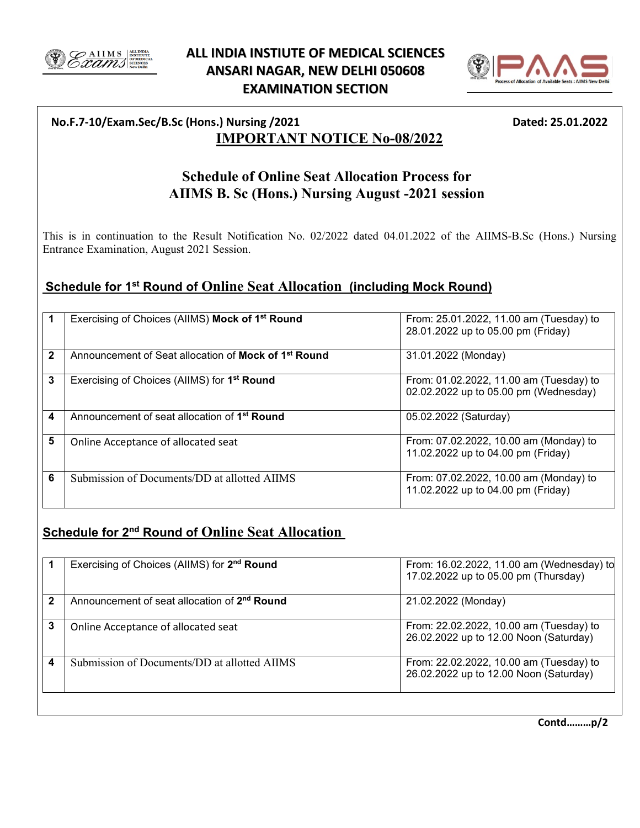

## **ALL INDIA INSTIUTE OF MEDICAL SCIENCES ANSARI NAGAR, NEW DELHI 050608 EXAMINATION SECTION**



### **No.F.7-10/Exam.Sec/B.Sc (Hons.) Nursing /2021 Dated: 25.01.2022 IMPORTANT NOTICE No-08/2022**

# **Schedule of Online Seat Allocation Process for AIIMS B. Sc (Hons.) Nursing August -2021 session**

This is in continuation to the Result Notification No. 02/2022 dated 04.01.2022 of the AIIMS-B.Sc (Hons.) Nursing Entrance Examination, August 2021 Session.

### **Schedule for 1st Round of Online Seat Allocation (including Mock Round)**

|              | Exercising of Choices (AllMS) Mock of 1 <sup>st</sup> Round      | From: 25.01.2022, 11.00 am (Tuesday) to<br>28.01.2022 up to 05.00 pm (Friday)    |
|--------------|------------------------------------------------------------------|----------------------------------------------------------------------------------|
| $\mathbf{2}$ | Announcement of Seat allocation of Mock of 1 <sup>st</sup> Round | 31.01.2022 (Monday)                                                              |
| 3            | Exercising of Choices (AIIMS) for 1 <sup>st</sup> Round          | From: 01.02.2022, 11.00 am (Tuesday) to<br>02.02.2022 up to 05.00 pm (Wednesday) |
| 4            | Announcement of seat allocation of 1 <sup>st</sup> Round         | 05.02.2022 (Saturday)                                                            |
| 5            | Online Acceptance of allocated seat                              | From: 07.02.2022, 10.00 am (Monday) to<br>11.02.2022 up to 04.00 pm (Friday)     |
| 6            | Submission of Documents/DD at allotted AIIMS                     | From: 07.02.2022, 10.00 am (Monday) to<br>11.02.2022 up to 04.00 pm (Friday)     |

# **Schedule for 2nd Round of Online Seat Allocation**

|   | Exercising of Choices (AllMS) for 2 <sup>nd</sup> Round  | From: 16.02.2022, 11.00 am (Wednesday) to<br>17.02.2022 up to 05.00 pm (Thursday) |
|---|----------------------------------------------------------|-----------------------------------------------------------------------------------|
| 2 | Announcement of seat allocation of 2 <sup>nd</sup> Round | 21.02.2022 (Monday)                                                               |
| 3 | Online Acceptance of allocated seat                      | From: 22.02.2022, 10.00 am (Tuesday) to<br>26.02.2022 up to 12.00 Noon (Saturday) |
| 4 | Submission of Documents/DD at allotted AIIMS             | From: 22.02.2022, 10.00 am (Tuesday) to<br>26.02.2022 up to 12.00 Noon (Saturday) |
|   |                                                          |                                                                                   |